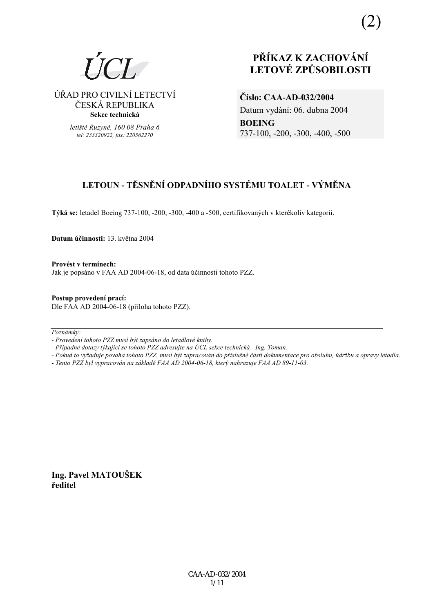

ÚŘAD PRO CIVILNÍ LETECTVÍ ČESKÁ REPUBLIKA **Sekce technická** 

> *letiötě Ruzyně, 160 08 Praha 6 tel: 233320922, fax: 220562270*

# **PŘÍKAZ K ZACHOVÁNÍ LETOV… ZPŮSOBILOSTI**

**ČÌslo: CAA-AD-032/2004**  Datum vydání: 06. dubna 2004 **BOEING**  737-100, -200, -300, -400, -500

# **LETOUN - TĚSNĚNÍ ODPADNÍHO SYSTÉMU TOALET - VÝMĚNA**

Týká se: letadel Boeing 737-100, -200, -300, -400 a -500, certifikovaných v kterékoliv kategorii.

**Datum ˙činnosti:** 13. května 2004

Provést v termínech: Jak je popsáno v FAA AD 2004-06-18, od data účinnosti tohoto PZZ.

**Postup provedenÌ pracÌ:**  Dle FAA AD 2004-06-18 (příloha tohoto PZZ).

 $Poznámky:$ 

*- ProvedenÌ tohoto PZZ musÌ b˝t zaps·no do letadlovÈ knihy.* 

*- Případné dotazy týkající se tohoto PZZ adresujte na ÚCL sekce technická - Ing. Toman.* 

- *Pokud to vyûaduje povaha tohoto PZZ, musÌ b˝t zapracov·n do přÌsluönÈ č·sti dokumentace pro obsluhu, ˙drûbu a opravy letadla.*
- *Tento PZZ byl vypracov·n na z·kladě FAA AD 2004-06-18, kter˝ nahrazuje FAA AD 89-11-03.*

**Ing. Pavel MATOUäEK ředitel**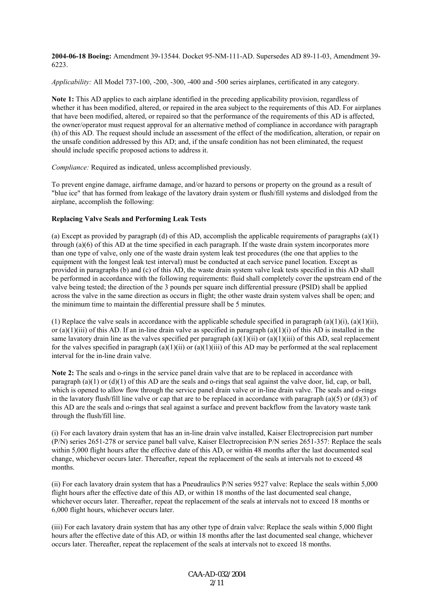**2004-06-18 Boeing:** Amendment 39-13544. Docket 95-NM-111-AD. Supersedes AD 89-11-03, Amendment 39- 6223.

*Applicability:* All Model 737-100, -200, -300, -400 and -500 series airplanes, certificated in any category.

**Note 1:** This AD applies to each airplane identified in the preceding applicability provision, regardless of whether it has been modified, altered, or repaired in the area subject to the requirements of this AD. For airplanes that have been modified, altered, or repaired so that the performance of the requirements of this AD is affected, the owner/operator must request approval for an alternative method of compliance in accordance with paragraph (h) of this AD. The request should include an assessment of the effect of the modification, alteration, or repair on the unsafe condition addressed by this AD; and, if the unsafe condition has not been eliminated, the request should include specific proposed actions to address it.

*Compliance:* Required as indicated, unless accomplished previously.

To prevent engine damage, airframe damage, and/or hazard to persons or property on the ground as a result of "blue ice" that has formed from leakage of the lavatory drain system or flush/fill systems and dislodged from the airplane, accomplish the following:

### **Replacing Valve Seals and Performing Leak Tests**

(a) Except as provided by paragraph (d) of this AD, accomplish the applicable requirements of paragraphs (a)(1) through (a)(6) of this AD at the time specified in each paragraph. If the waste drain system incorporates more than one type of valve, only one of the waste drain system leak test procedures (the one that applies to the equipment with the longest leak test interval) must be conducted at each service panel location. Except as provided in paragraphs (b) and (c) of this AD, the waste drain system valve leak tests specified in this AD shall be performed in accordance with the following requirements: fluid shall completely cover the upstream end of the valve being tested; the direction of the 3 pounds per square inch differential pressure (PSID) shall be applied across the valve in the same direction as occurs in flight; the other waste drain system valves shall be open; and the minimum time to maintain the differential pressure shall be 5 minutes.

(1) Replace the valve seals in accordance with the applicable schedule specified in paragraph  $(a)(1)(i)$ ,  $(a)(1)(ii)$ , or  $(a)(1)(iii)$  of this AD. If an in-line drain valve as specified in paragraph  $(a)(1)(i)$  of this AD is installed in the same lavatory drain line as the valves specified per paragraph  $(a)(1)(ii)$  or  $(a)(1)(iii)$  of this AD, seal replacement for the valves specified in paragraph (a)(1)(ii) or (a)(1)(iii) of this AD may be performed at the seal replacement interval for the in-line drain valve.

**Note 2:** The seals and o-rings in the service panel drain valve that are to be replaced in accordance with paragraph  $(a)(1)$  or  $(d)(1)$  of this AD are the seals and o-rings that seal against the valve door, lid, cap, or ball, which is opened to allow flow through the service panel drain valve or in-line drain valve. The seals and o-rings in the lavatory flush/fill line valve or cap that are to be replaced in accordance with paragraph (a)(5) or (d)(3) of this AD are the seals and o-rings that seal against a surface and prevent backflow from the lavatory waste tank through the flush/fill line.

(i) For each lavatory drain system that has an in-line drain valve installed, Kaiser Electroprecision part number (P/N) series 2651-278 or service panel ball valve, Kaiser Electroprecision P/N series 2651-357: Replace the seals within 5,000 flight hours after the effective date of this AD, or within 48 months after the last documented seal change, whichever occurs later. Thereafter, repeat the replacement of the seals at intervals not to exceed 48 months.

(ii) For each lavatory drain system that has a Pneudraulics P/N series 9527 valve: Replace the seals within 5,000 flight hours after the effective date of this AD, or within 18 months of the last documented seal change, whichever occurs later. Thereafter, repeat the replacement of the seals at intervals not to exceed 18 months or 6,000 flight hours, whichever occurs later.

(iii) For each lavatory drain system that has any other type of drain valve: Replace the seals within 5,000 flight hours after the effective date of this AD, or within 18 months after the last documented seal change, whichever occurs later. Thereafter, repeat the replacement of the seals at intervals not to exceed 18 months.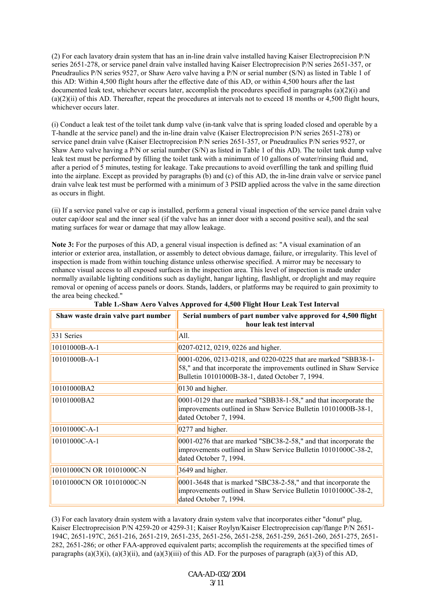(2) For each lavatory drain system that has an in-line drain valve installed having Kaiser Electroprecision P/N series 2651-278, or service panel drain valve installed having Kaiser Electroprecision P/N series 2651-357, or Pneudraulics P/N series 9527, or Shaw Aero valve having a P/N or serial number (S/N) as listed in Table 1 of this AD: Within 4,500 flight hours after the effective date of this AD, or within 4,500 hours after the last documented leak test, whichever occurs later, accomplish the procedures specified in paragraphs (a)(2)(i) and  $(a)(2)(ii)$  of this AD. Thereafter, repeat the procedures at intervals not to exceed 18 months or 4,500 flight hours, whichever occurs later.

(i) Conduct a leak test of the toilet tank dump valve (in-tank valve that is spring loaded closed and operable by a T-handle at the service panel) and the in-line drain valve (Kaiser Electroprecision P/N series 2651-278) or service panel drain valve (Kaiser Electroprecision P/N series 2651-357, or Pneudraulics P/N series 9527, or Shaw Aero valve having a P/N or serial number (S/N) as listed in Table 1 of this AD). The toilet tank dump valve leak test must be performed by filling the toilet tank with a minimum of 10 gallons of water/rinsing fluid and, after a period of 5 minutes, testing for leakage. Take precautions to avoid overfilling the tank and spilling fluid into the airplane. Except as provided by paragraphs (b) and (c) of this AD, the in-line drain valve or service panel drain valve leak test must be performed with a minimum of 3 PSID applied across the valve in the same direction as occurs in flight.

(ii) If a service panel valve or cap is installed, perform a general visual inspection of the service panel drain valve outer cap/door seal and the inner seal (if the valve has an inner door with a second positive seal), and the seal mating surfaces for wear or damage that may allow leakage.

**Note 3:** For the purposes of this AD, a general visual inspection is defined as: "A visual examination of an interior or exterior area, installation, or assembly to detect obvious damage, failure, or irregularity. This level of inspection is made from within touching distance unless otherwise specified. A mirror may be necessary to enhance visual access to all exposed surfaces in the inspection area. This level of inspection is made under normally available lighting conditions such as daylight, hangar lighting, flashlight, or droplight and may require removal or opening of access panels or doors. Stands, ladders, or platforms may be required to gain proximity to the area being checked."

| Shaw waste drain valve part number | Serial numbers of part number valve approved for 4,500 flight<br>hour leak test interval                                                                                                |
|------------------------------------|-----------------------------------------------------------------------------------------------------------------------------------------------------------------------------------------|
| 331 Series                         | All.                                                                                                                                                                                    |
| 10101000B-A-1                      | 0207-0212, 0219, 0226 and higher.                                                                                                                                                       |
| 10101000B-A-1                      | 0001-0206, 0213-0218, and 0220-0225 that are marked "SBB38-1-<br>58," and that incorporate the improvements outlined in Shaw Service<br>Bulletin 10101000B-38-1, dated October 7, 1994. |
| 10101000BA2                        | 0130 and higher.                                                                                                                                                                        |
| 10101000BA2                        | $0001-0129$ that are marked "SBB38-1-58," and that incorporate the<br>improvements outlined in Shaw Service Bulletin 10101000B-38-1,<br>dated October 7, 1994.                          |
| 10101000C-A-1                      | 0277 and higher.                                                                                                                                                                        |
| 10101000C-A-1                      | $0001-0276$ that are marked "SBC38-2-58," and that incorporate the<br>improvements outlined in Shaw Service Bulletin 10101000C-38-2,<br>dated October 7, 1994.                          |
| 10101000CN OR 10101000C-N          | 3649 and higher.                                                                                                                                                                        |
| 10101000CN OR 10101000C-N          | $ 0001-3648$ that is marked "SBC38-2-58," and that incorporate the<br>improvements outlined in Shaw Service Bulletin 10101000C-38-2,<br>dated October 7, 1994.                          |

|  |  | Table 1.-Shaw Aero Valves Approved for 4,500 Flight Hour Leak Test Interval |  |  |  |  |
|--|--|-----------------------------------------------------------------------------|--|--|--|--|

(3) For each lavatory drain system with a lavatory drain system valve that incorporates either "donut" plug, Kaiser Electroprecision P/N 4259-20 or 4259-31; Kaiser Roylyn/Kaiser Electroprecision cap/flange P/N 2651- 194C, 2651-197C, 2651-216, 2651-219, 2651-235, 2651-256, 2651-258, 2651-259, 2651-260, 2651-275, 2651- 282, 2651-286; or other FAA-approved equivalent parts; accomplish the requirements at the specified times of paragraphs (a)(3)(i), (a)(3)(ii), and (a)(3)(iii) of this AD. For the purposes of paragraph (a)(3) of this AD,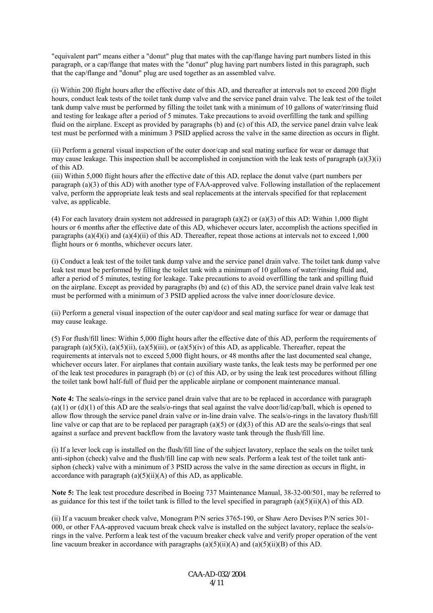"equivalent part" means either a "donut" plug that mates with the cap/flange having part numbers listed in this paragraph, or a cap/flange that mates with the "donut" plug having part numbers listed in this paragraph, such that the cap/flange and "donut" plug are used together as an assembled valve.

(i) Within 200 flight hours after the effective date of this AD, and thereafter at intervals not to exceed 200 flight hours, conduct leak tests of the toilet tank dump valve and the service panel drain valve. The leak test of the toilet tank dump valve must be performed by filling the toilet tank with a minimum of 10 gallons of water/rinsing fluid and testing for leakage after a period of 5 minutes. Take precautions to avoid overfilling the tank and spilling fluid on the airplane. Except as provided by paragraphs (b) and (c) of this AD, the service panel drain valve leak test must be performed with a minimum 3 PSID applied across the valve in the same direction as occurs in flight.

(ii) Perform a general visual inspection of the outer door/cap and seal mating surface for wear or damage that may cause leakage. This inspection shall be accomplished in conjunction with the leak tests of paragraph (a)(3)(i) of this AD.

(iii) Within 5,000 flight hours after the effective date of this AD, replace the donut valve (part numbers per paragraph (a)(3) of this AD) with another type of FAA-approved valve. Following installation of the replacement valve, perform the appropriate leak tests and seal replacements at the intervals specified for that replacement valve, as applicable.

(4) For each lavatory drain system not addressed in paragraph (a)(2) or (a)(3) of this AD: Within 1,000 flight hours or 6 months after the effective date of this AD, whichever occurs later, accomplish the actions specified in paragraphs (a)(4)(i) and (a)(4)(ii) of this AD. Thereafter, repeat those actions at intervals not to exceed 1,000 flight hours or 6 months, whichever occurs later.

(i) Conduct a leak test of the toilet tank dump valve and the service panel drain valve. The toilet tank dump valve leak test must be performed by filling the toilet tank with a minimum of 10 gallons of water/rinsing fluid and, after a period of 5 minutes, testing for leakage. Take precautions to avoid overfilling the tank and spilling fluid on the airplane. Except as provided by paragraphs (b) and (c) of this AD, the service panel drain valve leak test must be performed with a minimum of 3 PSID applied across the valve inner door/closure device.

(ii) Perform a general visual inspection of the outer cap/door and seal mating surface for wear or damage that may cause leakage.

(5) For flush/fill lines: Within 5,000 flight hours after the effective date of this AD, perform the requirements of paragraph (a)(5)(i), (a)(5)(ii), (a)(5)(iii), or (a)(5)(iv) of this AD, as applicable. Thereafter, repeat the requirements at intervals not to exceed 5,000 flight hours, or 48 months after the last documented seal change, whichever occurs later. For airplanes that contain auxiliary waste tanks, the leak tests may be performed per one of the leak test procedures in paragraph (b) or (c) of this AD, or by using the leak test procedures without filling the toilet tank bowl half-full of fluid per the applicable airplane or component maintenance manual.

**Note 4:** The seals/o-rings in the service panel drain valve that are to be replaced in accordance with paragraph  $(a)(1)$  or  $(d)(1)$  of this AD are the seals/o-rings that seal against the valve door/lid/cap/ball, which is opened to allow flow through the service panel drain valve or in-line drain valve. The seals/o-rings in the lavatory flush/fill line valve or cap that are to be replaced per paragraph (a)(5) or (d)(3) of this AD are the seals/o-rings that seal against a surface and prevent backflow from the lavatory waste tank through the flush/fill line.

(i) If a lever lock cap is installed on the flush/fill line of the subject lavatory, replace the seals on the toilet tank anti-siphon (check) valve and the flush/fill line cap with new seals. Perform a leak test of the toilet tank antisiphon (check) valve with a minimum of 3 PSID across the valve in the same direction as occurs in flight, in accordance with paragraph  $(a)(5)(ii)(A)$  of this AD, as applicable.

**Note 5:** The leak test procedure described in Boeing 737 Maintenance Manual, 38-32-00/501, may be referred to as guidance for this test if the toilet tank is filled to the level specified in paragraph (a)(5)(ii)(A) of this AD.

(ii) If a vacuum breaker check valve, Monogram P/N series 3765-190, or Shaw Aero Devises P/N series 301- 000, or other FAA-approved vacuum break check valve is installed on the subject lavatory, replace the seals/orings in the valve. Perform a leak test of the vacuum breaker check valve and verify proper operation of the vent line vacuum breaker in accordance with paragraphs  $(a)(5)(ii)(A)$  and  $(a)(5)(ii)(B)$  of this AD.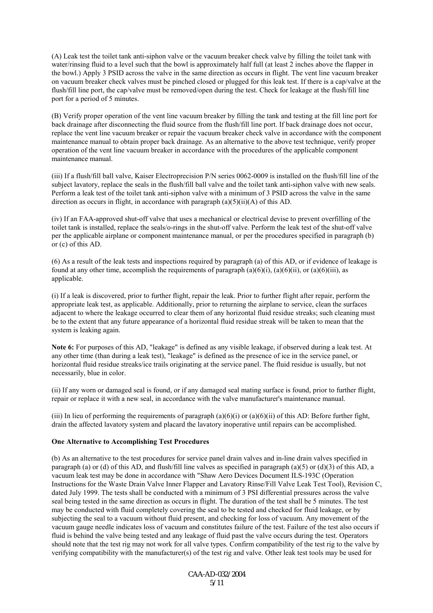(A) Leak test the toilet tank anti-siphon valve or the vacuum breaker check valve by filling the toilet tank with water/rinsing fluid to a level such that the bowl is approximately half full (at least 2 inches above the flapper in the bowl.) Apply 3 PSID across the valve in the same direction as occurs in flight. The vent line vacuum breaker on vacuum breaker check valves must be pinched closed or plugged for this leak test. If there is a cap/valve at the flush/fill line port, the cap/valve must be removed/open during the test. Check for leakage at the flush/fill line port for a period of 5 minutes.

(B) Verify proper operation of the vent line vacuum breaker by filling the tank and testing at the fill line port for back drainage after disconnecting the fluid source from the flush/fill line port. If back drainage does not occur, replace the vent line vacuum breaker or repair the vacuum breaker check valve in accordance with the component maintenance manual to obtain proper back drainage. As an alternative to the above test technique, verify proper operation of the vent line vacuum breaker in accordance with the procedures of the applicable component maintenance manual.

(iii) If a flush/fill ball valve, Kaiser Electroprecision P/N series 0062-0009 is installed on the flush/fill line of the subject lavatory, replace the seals in the flush/fill ball valve and the toilet tank anti-siphon valve with new seals. Perform a leak test of the toilet tank anti-siphon valve with a minimum of 3 PSID across the valve in the same direction as occurs in flight, in accordance with paragraph  $(a)(5)(ii)(A)$  of this AD.

(iv) If an FAA-approved shut-off valve that uses a mechanical or electrical devise to prevent overfilling of the toilet tank is installed, replace the seals/o-rings in the shut-off valve. Perform the leak test of the shut-off valve per the applicable airplane or component maintenance manual, or per the procedures specified in paragraph (b) or (c) of this AD.

(6) As a result of the leak tests and inspections required by paragraph (a) of this AD, or if evidence of leakage is found at any other time, accomplish the requirements of paragraph (a)(6)(i), (a)(6)(ii), or (a)(6)(iii), as applicable.

(i) If a leak is discovered, prior to further flight, repair the leak. Prior to further flight after repair, perform the appropriate leak test, as applicable. Additionally, prior to returning the airplane to service, clean the surfaces adjacent to where the leakage occurred to clear them of any horizontal fluid residue streaks; such cleaning must be to the extent that any future appearance of a horizontal fluid residue streak will be taken to mean that the system is leaking again.

**Note 6:** For purposes of this AD, "leakage" is defined as any visible leakage, if observed during a leak test. At any other time (than during a leak test), "leakage" is defined as the presence of ice in the service panel, or horizontal fluid residue streaks/ice trails originating at the service panel. The fluid residue is usually, but not necessarily, blue in color.

(ii) If any worn or damaged seal is found, or if any damaged seal mating surface is found, prior to further flight, repair or replace it with a new seal, in accordance with the valve manufacturer's maintenance manual.

(iii) In lieu of performing the requirements of paragraph  $(a)(6)(i)$  or  $(a)(6)(ii)$  of this AD: Before further fight, drain the affected lavatory system and placard the lavatory inoperative until repairs can be accomplished.

### **One Alternative to Accomplishing Test Procedures**

(b) As an alternative to the test procedures for service panel drain valves and in-line drain valves specified in paragraph (a) or (d) of this AD, and flush/fill line valves as specified in paragraph (a)(5) or (d)(3) of this AD, a vacuum leak test may be done in accordance with "Shaw Aero Devices Document ILS-193C (Operation Instructions for the Waste Drain Valve Inner Flapper and Lavatory Rinse/Fill Valve Leak Test Tool), Revision C, dated July 1999. The tests shall be conducted with a minimum of 3 PSI differential pressures across the valve seal being tested in the same direction as occurs in flight. The duration of the test shall be 5 minutes. The test may be conducted with fluid completely covering the seal to be tested and checked for fluid leakage, or by subjecting the seal to a vacuum without fluid present, and checking for loss of vacuum. Any movement of the vacuum gauge needle indicates loss of vacuum and constitutes failure of the test. Failure of the test also occurs if fluid is behind the valve being tested and any leakage of fluid past the valve occurs during the test. Operators should note that the test rig may not work for all valve types. Confirm compatibility of the test rig to the valve by verifying compatibility with the manufacturer(s) of the test rig and valve. Other leak test tools may be used for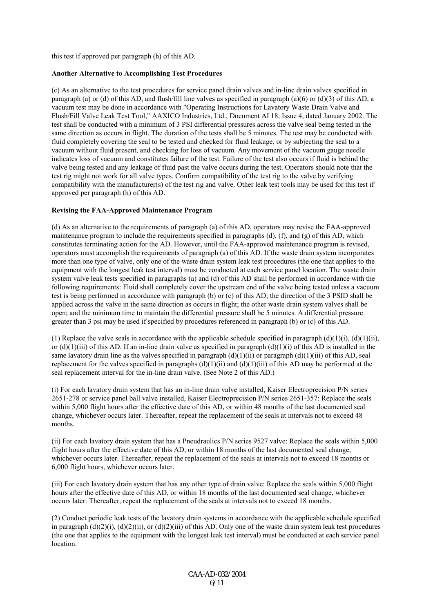this test if approved per paragraph (h) of this AD.

### **Another Alternative to Accomplishing Test Procedures**

(c) As an alternative to the test procedures for service panel drain valves and in-line drain valves specified in paragraph (a) or (d) of this AD, and flush/fill line valves as specified in paragraph (a)(6) or (d)(3) of this AD, a vacuum test may be done in accordance with "Operating Instructions for Lavatory Waste Drain Valve and Flush/Fill Valve Leak Test Tool," AAXICO Industries, Ltd., Document AI 18, Issue 4, dated January 2002. The test shall be conducted with a minimum of 3 PSI differential pressures across the valve seal being tested in the same direction as occurs in flight. The duration of the tests shall be 5 minutes. The test may be conducted with fluid completely covering the seal to be tested and checked for fluid leakage, or by subjecting the seal to a vacuum without fluid present, and checking for loss of vacuum. Any movement of the vacuum gauge needle indicates loss of vacuum and constitutes failure of the test. Failure of the test also occurs if fluid is behind the valve being tested and any leakage of fluid past the valve occurs during the test. Operators should note that the test rig might not work for all valve types. Confirm compatibility of the test rig to the valve by verifying compatibility with the manufacturer(s) of the test rig and valve. Other leak test tools may be used for this test if approved per paragraph (h) of this AD.

### **Revising the FAA-Approved Maintenance Program**

(d) As an alternative to the requirements of paragraph (a) of this AD, operators may revise the FAA-approved maintenance program to include the requirements specified in paragraphs (d), (f), and (g) of this AD, which constitutes terminating action for the AD. However, until the FAA-approved maintenance program is revised, operators must accomplish the requirements of paragraph (a) of this AD. If the waste drain system incorporates more than one type of valve, only one of the waste drain system leak test procedures (the one that applies to the equipment with the longest leak test interval) must be conducted at each service panel location. The waste drain system valve leak tests specified in paragraphs (a) and (d) of this AD shall be performed in accordance with the following requirements: Fluid shall completely cover the upstream end of the valve being tested unless a vacuum test is being performed in accordance with paragraph (b) or (c) of this AD; the direction of the 3 PSID shall be applied across the valve in the same direction as occurs in flight; the other waste drain system valves shall be open; and the minimum time to maintain the differential pressure shall be 5 minutes. A differential pressure greater than 3 psi may be used if specified by procedures referenced in paragraph (b) or (c) of this AD.

(1) Replace the valve seals in accordance with the applicable schedule specified in paragraph  $(d)(1)(i)$ ,  $(d)(1)(ii)$ , or  $(d)(1)(iii)$  of this AD. If an in-line drain valve as specified in paragraph  $(d)(1)(i)$  of this AD is installed in the same lavatory drain line as the valves specified in paragraph  $(d)(1)(ii)$  or paragraph  $(d)(1)(iii)$  of this AD, seal replacement for the valves specified in paragraphs  $(d)(1)(ii)$  and  $(d)(1)(iii)$  of this AD may be performed at the seal replacement interval for the in-line drain valve. (See Note 2 of this AD.)

(i) For each lavatory drain system that has an in-line drain valve installed, Kaiser Electroprecision P/N series 2651-278 or service panel ball valve installed, Kaiser Electroprecision P/N series 2651-357: Replace the seals within 5,000 flight hours after the effective date of this AD, or within 48 months of the last documented seal change, whichever occurs later. Thereafter, repeat the replacement of the seals at intervals not to exceed 48 months.

(ii) For each lavatory drain system that has a Pneudraulics P/N series 9527 valve: Replace the seals within 5,000 flight hours after the effective date of this AD, or within 18 months of the last documented seal change, whichever occurs later. Thereafter, repeat the replacement of the seals at intervals not to exceed 18 months or 6,000 flight hours, whichever occurs later.

(iii) For each lavatory drain system that has any other type of drain valve: Replace the seals within 5,000 flight hours after the effective date of this AD, or within 18 months of the last documented seal change, whichever occurs later. Thereafter, repeat the replacement of the seals at intervals not to exceed 18 months.

(2) Conduct periodic leak tests of the lavatory drain systems in accordance with the applicable schedule specified in paragraph  $(d)(2)(i)$ ,  $(d)(2)(ii)$ , or  $(d)(2)(iii)$  of this AD. Only one of the waste drain system leak test procedures (the one that applies to the equipment with the longest leak test interval) must be conducted at each service panel location.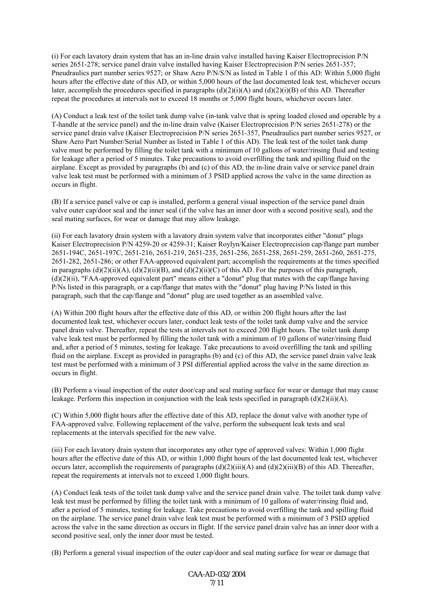(i) For each lavatory drain system that has an in-line drain valve installed having Kaiser Electroprecision P/N series 2651-278; service panel drain valve installed having Kaiser Electroprecision P/N series 2651-357; Pneudraulics part number series 9527; or Shaw Aero P/N/S/N as listed in Table 1 of this AD: Within 5,000 flight hours after the effective date of this AD, or within 5,000 hours of the last documented leak test, whichever occurs later, accomplish the procedures specified in paragraphs  $(d)(2)(i)(A)$  and  $(d)(2)(i)(B)$  of this AD. Thereafter repeat the procedures at intervals not to exceed 18 months or 5,000 flight hours, whichever occurs later.

(A) Conduct a leak test of the toilet tank dump valve (in-tank valve that is spring loaded closed and operable by a T-handle at the service panel) and the in-line drain valve (Kaiser Electroprecision P/N series 2651-278) or the service panel drain valve (Kaiser Electroprecision P/N series 2651-357, Pneudraulics part number series 9527, or Shaw Aero Part Number/Serial Number as listed in Table 1 of this AD). The leak test of the toilet tank dump valve must be performed by filling the toilet tank with a minimum of 10 gallons of water/rinsing fluid and testing for leakage after a period of 5 minutes. Take precautions to avoid overfilling the tank and spilling fluid on the airplane. Except as provided by paragraphs (b) and (c) of this AD, the in-line drain valve or service panel drain valve leak test must be performed with a minimum of 3 PSID applied across the valve in the same direction as occurs in flight.

(B) If a service panel valve or cap is installed, perform a general visual inspection of the service panel drain valve outer cap/door seal and the inner seal (if the valve has an inner door with a second positive seal), and the seal mating surfaces, for wear or damage that may allow leakage.

(ii) For each lavatory drain system with a lavatory drain system valve that incorporates either "donut" plugs Kaiser Electroprecision P/N 4259-20 or 4259-31; Kaiser Roylyn/Kaiser Electroprecision cap/flange part number 2651-194C, 2651-197C, 2651-216, 2651-219, 2651-235, 2651-256, 2651-258, 2651-259, 2651-260, 2651-275, 2651-282, 2651-286; or other FAA-approved equivalent part; accomplish the requirements at the times specified in paragraphs  $(d)(2)(ii)(A)$ ,  $(d)(2)(ii)(B)$ , and  $(d)(2)(ii)(C)$  of this AD. For the purposes of this paragraph, (d)(2)(ii), "FAA-approved equivalent part" means either a "donut" plug that mates with the cap/flange having P/Ns listed in this paragraph, or a cap/flange that mates with the "donut" plug having P/Ns listed in this paragraph, such that the cap/flange and "donut" plug are used together as an assembled valve.

(A) Within 200 flight hours after the effective date of this AD, or within 200 flight hours after the last documented leak test, whichever occurs later, conduct leak tests of the toilet tank dump valve and the service panel drain valve. Thereafter, repeat the tests at intervals not to exceed 200 flight hours. The toilet tank dump valve leak test must be performed by filling the toilet tank with a minimum of 10 gallons of water/rinsing fluid and, after a period of 5 minutes, testing for leakage. Take precautions to avoid overfilling the tank and spilling fluid on the airplane. Except as provided in paragraphs (b) and (c) of this AD, the service panel drain valve leak test must be performed with a minimum of 3 PSI differential applied across the valve in the same direction as occurs in flight.

(B) Perform a visual inspection of the outer door/cap and seal mating surface for wear or damage that may cause leakage. Perform this inspection in conjunction with the leak tests specified in paragraph (d)(2)(ii)(A).

(C) Within 5,000 flight hours after the effective date of this AD, replace the donut valve with another type of FAA-approved valve. Following replacement of the valve, perform the subsequent leak tests and seal replacements at the intervals specified for the new valve.

(iii) For each lavatory drain system that incorporates any other type of approved valves: Within 1,000 flight hours after the effective date of this AD, or within 1,000 flight hours of the last documented leak test, whichever occurs later, accomplish the requirements of paragraphs  $(d)(2)(iii)(A)$  and  $(d)(2)(iii)(B)$  of this AD. Thereafter, repeat the requirements at intervals not to exceed 1,000 flight hours.

(A) Conduct leak tests of the toilet tank dump valve and the service panel drain valve. The toilet tank dump valve leak test must be performed by filling the toilet tank with a minimum of 10 gallons of water/rinsing fluid and, after a period of 5 minutes, testing for leakage. Take precautions to avoid overfilling the tank and spilling fluid on the airplane. The service panel drain valve leak test must be performed with a minimum of 3 PSID applied across the valve in the same direction as occurs in flight. If the service panel drain valve has an inner door with a second positive seal, only the inner door must be tested.

(B) Perform a general visual inspection of the outer cap/door and seal mating surface for wear or damage that

CAA-AD-032/2004 7/11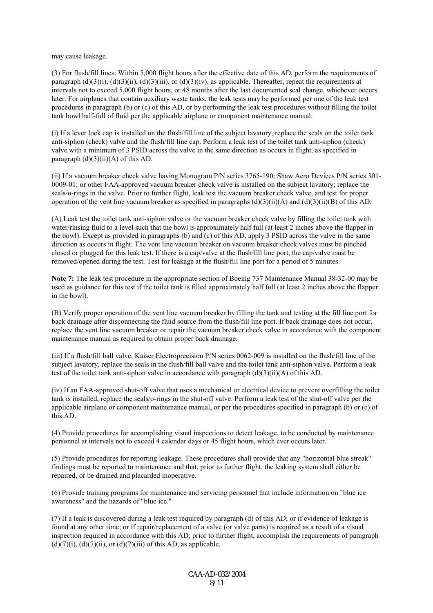may cause leakage.

(3) For flush/fill lines: Within 5,000 flight hours after the effective date of this AD, perform the requirements of paragraph  $(d)(3)(i)$ ,  $(d)(3)(ii)$ ,  $(d)(3)(iii)$ , or  $(d)(3)(iv)$ , as applicable. Thereafter, repeat the requirements at intervals not to exceed 5,000 flight hours, or 48 months after the last documented seal change, whichever occurs later. For airplanes that contain auxiliary waste tanks, the leak tests may be performed per one of the leak test procedures in paragraph (b) or (c) of this AD, or by performing the leak test procedures without filling the toilet tank bowl half-full of fluid per the applicable airplane or component maintenance manual.

(i) If a lever lock cap is installed on the flush/fill line of the subject lavatory, replace the seals on the toilet tank anti-siphon (check) valve and the flush/fill line cap. Perform a leak test of the toilet tank anti-siphon (check) valve with a minimum of 3 PSID across the valve in the same direction as occurs in flight, as specified in paragraph  $(d)(3)(ii)(A)$  of this AD.

(ii) If a vacuum breaker check valve having Monogram P/N series 3765-190; Shaw Aero Devices P/N series 301- 0009-01; or other FAA-approved vacuum breaker check valve is installed on the subject lavatory; replace the seals/o-rings in the valve. Prior to further flight, leak test the vacuum breaker check valve, and test for proper operation of the vent line vacuum breaker as specified in paragraphs  $(d)(3)(ii)(A)$  and  $(d)(3)(ii)(B)$  of this AD.

(A) Leak test the toilet tank anti-siphon valve or the vacuum breaker check valve by filling the toilet tank with water/rinsing fluid to a level such that the bowl is approximately half full (at least 2 inches above the flapper in the bowl). Except as provided in paragraphs (b) and (c) of this AD, apply 3 PSID across the valve in the same direction as occurs in flight. The vent line vacuum breaker on vacuum breaker check valves must be pinched closed or plugged for this leak test. If there is a cap/valve at the flush/fill line port, the cap/valve must be removed/opened during the test. Test for leakage at the flush/fill line port for a period of 5 minutes.

**Note 7:** The leak test procedure in the appropriate section of Boeing 737 Maintenance Manual 38-32-00 may be used as guidance for this test if the toilet tank is filled approximately half full (at least 2 inches above the flapper in the bowl).

(B) Verify proper operation of the vent line vacuum breaker by filling the tank and testing at the fill line port for back drainage after disconnecting the fluid source from the flush/fill line port. If back drainage does not occur, replace the vent line vacuum breaker or repair the vacuum breaker check valve in accordance with the component maintenance manual as required to obtain proper back drainage.

(iii) If a flush/fill ball valve, Kaiser Electroprecision P/N series 0062-009 is installed on the flush/fill line of the subject lavatory, replace the seals in the flush/fill ball valve and the toilet tank anti-siphon valve. Perform a leak test of the toilet tank anti-siphon valve in accordance with paragraph (d)(3)(ii)(A) of this AD.

(iv) If an FAA-approved shut-off valve that uses a mechanical or electrical device to prevent overfilling the toilet tank is installed, replace the seals/o-rings in the shut-off valve. Perform a leak test of the shut-off valve per the applicable airplane or component maintenance manual, or per the procedures specified in paragraph (b) or (c) of this AD.

(4) Provide procedures for accomplishing visual inspections to detect leakage, to be conducted by maintenance personnel at intervals not to exceed 4 calendar days or 45 flight hours, which ever occurs later.

(5) Provide procedures for reporting leakage. These procedures shall provide that any "horizontal blue streak" findings must be reported to maintenance and that, prior to further flight, the leaking system shall either be repaired, or be drained and placarded inoperative.

(6) Provide training programs for maintenance and servicing personnel that include information on "blue ice awareness" and the hazards of "blue ice."

(7) If a leak is discovered during a leak test required by paragraph (d) of this AD; or if evidence of leakage is found at any other time; or if repair/replacement of a valve (or valve parts) is required as a result of a visual inspection required in accordance with this AD; prior to further flight, accomplish the requirements of paragraph  $(d)(7)(i)$ ,  $(d)(7)(ii)$ , or  $(d)(7)(iii)$  of this AD, as applicable.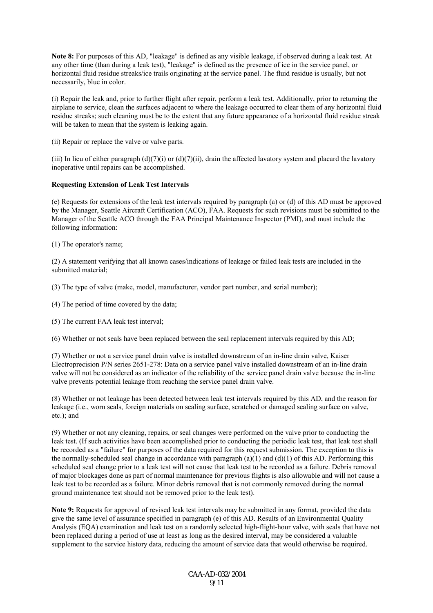**Note 8:** For purposes of this AD, "leakage" is defined as any visible leakage, if observed during a leak test. At any other time (than during a leak test), "leakage" is defined as the presence of ice in the service panel, or horizontal fluid residue streaks/ice trails originating at the service panel. The fluid residue is usually, but not necessarily, blue in color.

(i) Repair the leak and, prior to further flight after repair, perform a leak test. Additionally, prior to returning the airplane to service, clean the surfaces adjacent to where the leakage occurred to clear them of any horizontal fluid residue streaks; such cleaning must be to the extent that any future appearance of a horizontal fluid residue streak will be taken to mean that the system is leaking again.

(ii) Repair or replace the valve or valve parts.

(iii) In lieu of either paragraph (d)(7)(i) or (d)(7)(ii), drain the affected lavatory system and placard the lavatory inoperative until repairs can be accomplished.

# **Requesting Extension of Leak Test Intervals**

(e) Requests for extensions of the leak test intervals required by paragraph (a) or (d) of this AD must be approved by the Manager, Seattle Aircraft Certification (ACO), FAA. Requests for such revisions must be submitted to the Manager of the Seattle ACO through the FAA Principal Maintenance Inspector (PMI), and must include the following information:

(1) The operator's name;

(2) A statement verifying that all known cases/indications of leakage or failed leak tests are included in the submitted material;

(3) The type of valve (make, model, manufacturer, vendor part number, and serial number);

(4) The period of time covered by the data;

(5) The current FAA leak test interval;

(6) Whether or not seals have been replaced between the seal replacement intervals required by this AD;

(7) Whether or not a service panel drain valve is installed downstream of an in-line drain valve, Kaiser Electroprecision P/N series 2651-278: Data on a service panel valve installed downstream of an in-line drain valve will not be considered as an indicator of the reliability of the service panel drain valve because the in-line valve prevents potential leakage from reaching the service panel drain valve.

(8) Whether or not leakage has been detected between leak test intervals required by this AD, and the reason for leakage (i.e., worn seals, foreign materials on sealing surface, scratched or damaged sealing surface on valve, etc.); and

(9) Whether or not any cleaning, repairs, or seal changes were performed on the valve prior to conducting the leak test. (If such activities have been accomplished prior to conducting the periodic leak test, that leak test shall be recorded as a "failure" for purposes of the data required for this request submission. The exception to this is the normally-scheduled seal change in accordance with paragraph  $(a)(1)$  and  $(d)(1)$  of this AD. Performing this scheduled seal change prior to a leak test will not cause that leak test to be recorded as a failure. Debris removal of major blockages done as part of normal maintenance for previous flights is also allowable and will not cause a leak test to be recorded as a failure. Minor debris removal that is not commonly removed during the normal ground maintenance test should not be removed prior to the leak test).

**Note 9:** Requests for approval of revised leak test intervals may be submitted in any format, provided the data give the same level of assurance specified in paragraph (e) of this AD. Results of an Environmental Quality Analysis (EQA) examination and leak test on a randomly selected high-flight-hour valve, with seals that have not been replaced during a period of use at least as long as the desired interval, may be considered a valuable supplement to the service history data, reducing the amount of service data that would otherwise be required.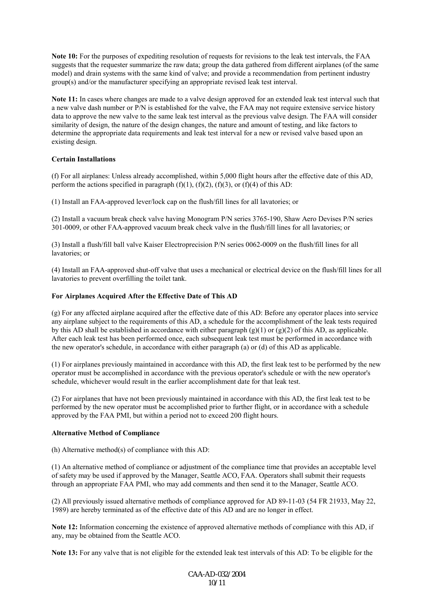**Note 10:** For the purposes of expediting resolution of requests for revisions to the leak test intervals, the FAA suggests that the requester summarize the raw data; group the data gathered from different airplanes (of the same model) and drain systems with the same kind of valve; and provide a recommendation from pertinent industry group(s) and/or the manufacturer specifying an appropriate revised leak test interval.

**Note 11:** In cases where changes are made to a valve design approved for an extended leak test interval such that a new valve dash number or P/N is established for the valve, the FAA may not require extensive service history data to approve the new valve to the same leak test interval as the previous valve design. The FAA will consider similarity of design, the nature of the design changes, the nature and amount of testing, and like factors to determine the appropriate data requirements and leak test interval for a new or revised valve based upon an existing design.

# **Certain Installations**

(f) For all airplanes: Unless already accomplished, within 5,000 flight hours after the effective date of this AD, perform the actions specified in paragraph  $(f)(1)$ ,  $(f)(2)$ ,  $(f)(3)$ , or  $(f)(4)$  of this AD:

(1) Install an FAA-approved lever/lock cap on the flush/fill lines for all lavatories; or

(2) Install a vacuum break check valve having Monogram P/N series 3765-190, Shaw Aero Devises P/N series 301-0009, or other FAA-approved vacuum break check valve in the flush/fill lines for all lavatories; or

(3) Install a flush/fill ball valve Kaiser Electroprecision P/N series 0062-0009 on the flush/fill lines for all lavatories; or

(4) Install an FAA-approved shut-off valve that uses a mechanical or electrical device on the flush/fill lines for all lavatories to prevent overfilling the toilet tank.

### **For Airplanes Acquired After the Effective Date of This AD**

(g) For any affected airplane acquired after the effective date of this AD: Before any operator places into service any airplane subject to the requirements of this AD, a schedule for the accomplishment of the leak tests required by this AD shall be established in accordance with either paragraph  $(g)(1)$  or  $(g)(2)$  of this AD, as applicable. After each leak test has been performed once, each subsequent leak test must be performed in accordance with the new operator's schedule, in accordance with either paragraph (a) or (d) of this AD as applicable.

(1) For airplanes previously maintained in accordance with this AD, the first leak test to be performed by the new operator must be accomplished in accordance with the previous operator's schedule or with the new operator's schedule, whichever would result in the earlier accomplishment date for that leak test.

(2) For airplanes that have not been previously maintained in accordance with this AD, the first leak test to be performed by the new operator must be accomplished prior to further flight, or in accordance with a schedule approved by the FAA PMI, but within a period not to exceed 200 flight hours.

### **Alternative Method of Compliance**

(h) Alternative method(s) of compliance with this AD:

(1) An alternative method of compliance or adjustment of the compliance time that provides an acceptable level of safety may be used if approved by the Manager, Seattle ACO, FAA. Operators shall submit their requests through an appropriate FAA PMI, who may add comments and then send it to the Manager, Seattle ACO.

(2) All previously issued alternative methods of compliance approved for AD 89-11-03 (54 FR 21933, May 22, 1989) are hereby terminated as of the effective date of this AD and are no longer in effect.

**Note 12:** Information concerning the existence of approved alternative methods of compliance with this AD, if any, may be obtained from the Seattle ACO.

**Note 13:** For any valve that is not eligible for the extended leak test intervals of this AD: To be eligible for the